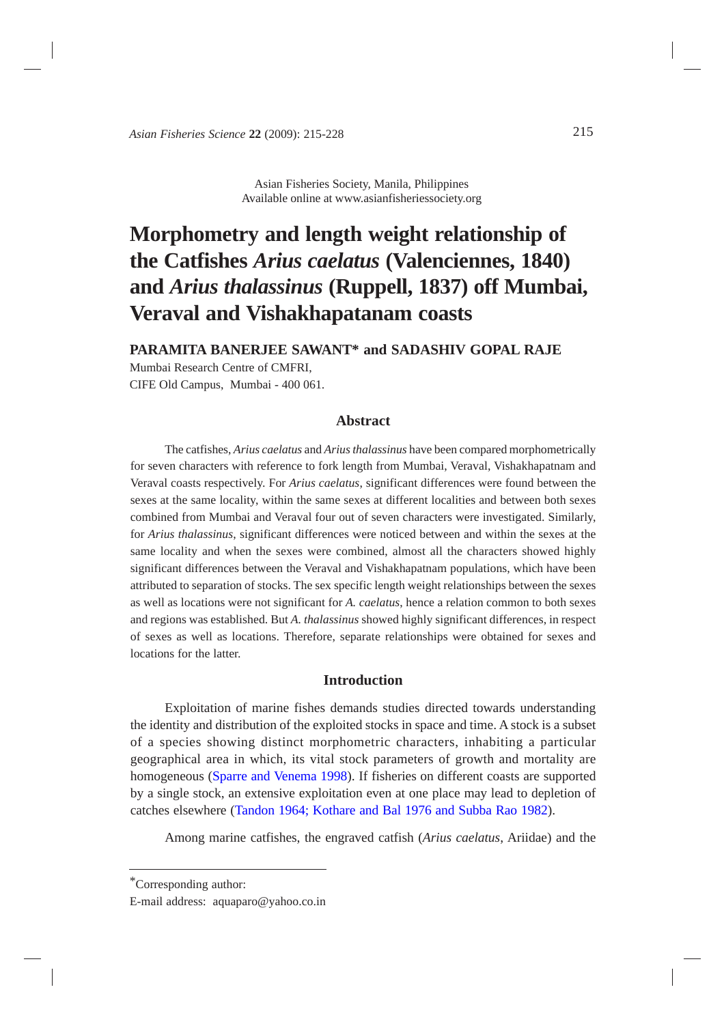*Asian Fisheries Science* **22** (2009): 215-228 215

## Asian Fisheries Society, Manila, Philippines Available online at www.asianfisheriessociety.org

# **Morphometry and length weight relationship of the Catfishes** *Arius caelatus* **(Valenciennes, 1840) and** *Arius thalassinus* **(Ruppell, 1837) off Mumbai, Veraval and Vishakhapatanam coasts**

**PARAMITA BANERJEE SAWANT\* and SADASHIV GOPAL RAJE**

Mumbai Research Centre of CMFRI, CIFE Old Campus, Mumbai - 400 061.

# **Abstract**

The catfishes, *Arius caelatus* and *Arius thalassinus* have been compared morphometrically for seven characters with reference to fork length from Mumbai, Veraval, Vishakhapatnam and Veraval coasts respectively. For *Arius caelatus*, significant differences were found between the sexes at the same locality, within the same sexes at different localities and between both sexes combined from Mumbai and Veraval four out of seven characters were investigated. Similarly, for *Arius thalassinus*, significant differences were noticed between and within the sexes at the same locality and when the sexes were combined, almost all the characters showed highly significant differences between the Veraval and Vishakhapatnam populations, which have been attributed to separation of stocks. The sex specific length weight relationships between the sexes as well as locations were not significant for *A. caelatus*, hence a relation common to both sexes and regions was established. But *A. thalassinus* showed highly significant differences, in respect of sexes as well as locations. Therefore, separate relationships were obtained for sexes and locations for the latter.

# **Introduction**

Exploitation of marine fishes demands studies directed towards understanding the identity and distribution of the exploited stocks in space and time. A stock is a subset of a species showing distinct morphometric characters, inhabiting a particular geographical area in which, its vital stock parameters of growth and mortality are homogeneous [\(Sparre and Venema 1998](#page-12-0)). If fisheries on different coasts are supported by a single stock, an extensive exploitation even at one place may lead to depletion of catches elsewhere [\(Tandon 1964; Kothare and Bal 1976 and Subba Rao 1982\)](#page-12-0).

Among marine catfishes, the engraved catfish (*Arius caelatus*, Ariidae) and the

<sup>\*</sup>Corresponding author:

E-mail address: aquaparo@yahoo.co.in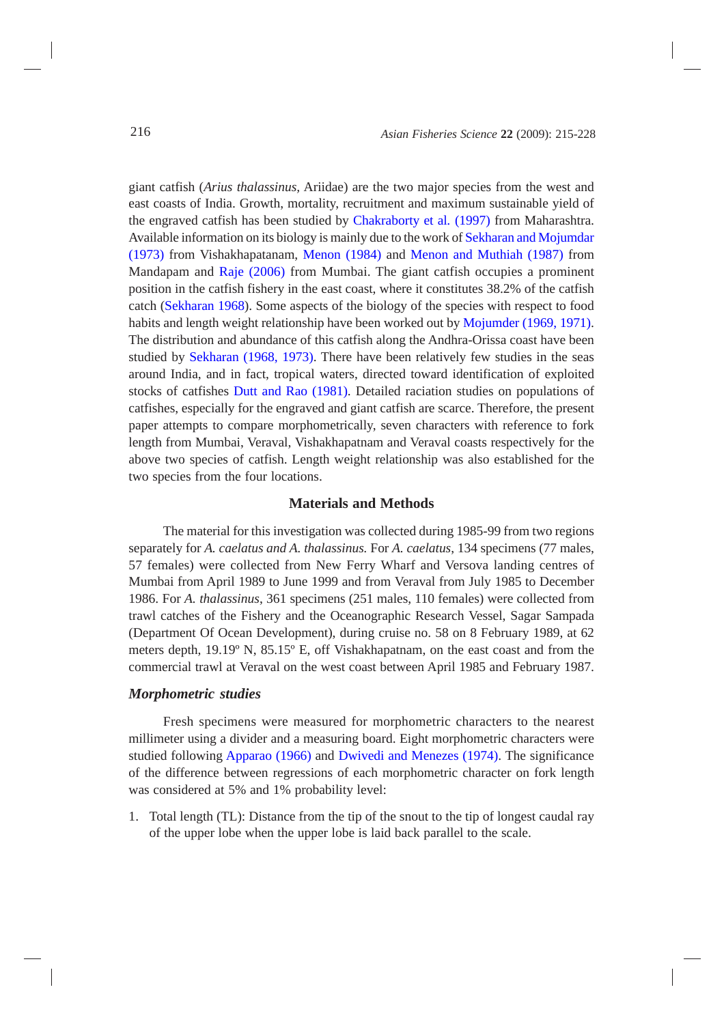giant catfish (*Arius thalassinus,* Ariidae) are the two major species from the west and east coasts of India. Growth, mortality, recruitment and maximum sustainable yield of the engraved catfish has been studied by [Chakraborty et al](#page-12-0)*.* (1997) from Maharashtra. Available information on its biology is mainly due to the work of [Sekharan and Mojumdar](#page-12-0) [\(1973\)](#page-12-0) from Vishakhapatanam, [Menon \(1984\)](#page-12-0) and [Menon and Muthiah \(1987\)](#page-12-0) from Mandapam and [Raje \(2006\)](#page-12-0) from Mumbai. The giant catfish occupies a prominent position in the catfish fishery in the east coast, where it constitutes 38.2% of the catfish catch [\(Sekharan 1968\)](#page-12-0). Some aspects of the biology of the species with respect to food habits and length weight relationship have been worked out by [Mojumder \(1969, 1971\).](#page-12-0) The distribution and abundance of this catfish along the Andhra-Orissa coast have been studied by [Sekharan \(1968, 1973\).](#page-12-0) There have been relatively few studies in the seas around India, and in fact, tropical waters, directed toward identification of exploited stocks of catfishes [Dutt and Rao \(1981\).](#page-12-0) Detailed raciation studies on populations of catfishes, especially for the engraved and giant catfish are scarce. Therefore, the present paper attempts to compare morphometrically, seven characters with reference to fork length from Mumbai, Veraval, Vishakhapatnam and Veraval coasts respectively for the above two species of catfish. Length weight relationship was also established for the two species from the four locations.

# **Materials and Methods**

The material for this investigation was collected during 1985-99 from two regions separately for *A. caelatus and A. thalassinus.* For *A. caelatus*, 134 specimens (77 males, 57 females) were collected from New Ferry Wharf and Versova landing centres of Mumbai from April 1989 to June 1999 and from Veraval from July 1985 to December 1986. For *A. thalassinus*, 361 specimens (251 males, 110 females) were collected from trawl catches of the Fishery and the Oceanographic Research Vessel, Sagar Sampada (Department Of Ocean Development), during cruise no. 58 on 8 February 1989, at 62 meters depth, 19.19º N, 85.15º E, off Vishakhapatnam, on the east coast and from the commercial trawl at Veraval on the west coast between April 1985 and February 1987.

#### *Morphometric studies*

Fresh specimens were measured for morphometric characters to the nearest millimeter using a divider and a measuring board. Eight morphometric characters were studied following [Apparao \(1966\)](#page-12-0) and [Dwivedi and Menezes \(1974\).](#page-12-0) The significance of the difference between regressions of each morphometric character on fork length was considered at 5% and 1% probability level:

1. Total length (TL): Distance from the tip of the snout to the tip of longest caudal ray of the upper lobe when the upper lobe is laid back parallel to the scale.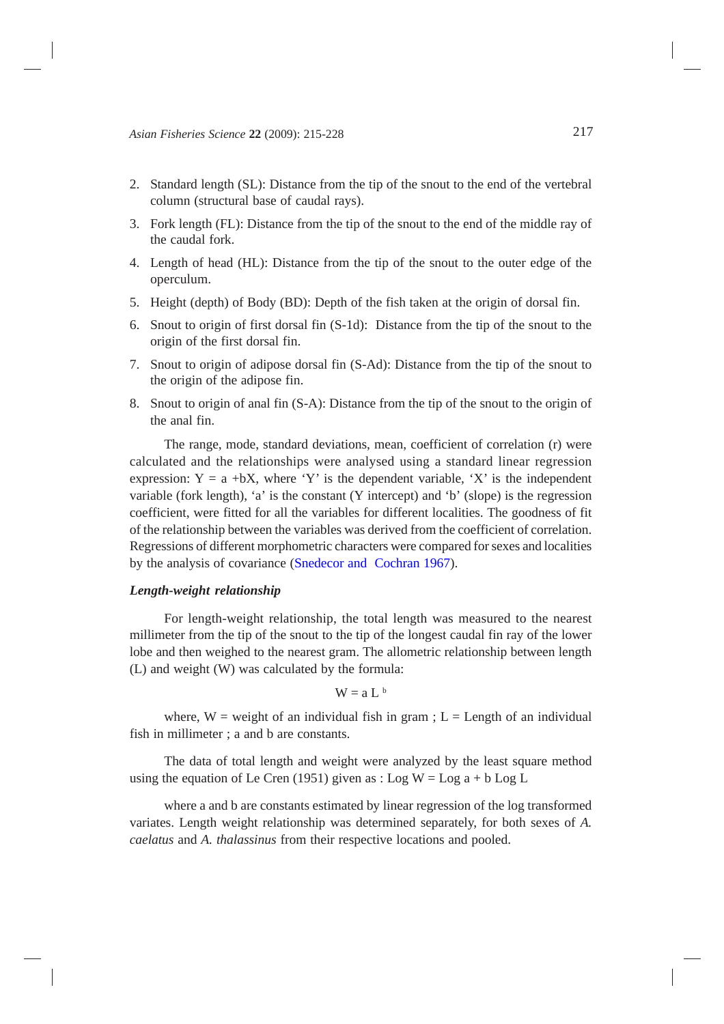- 2. Standard length (SL): Distance from the tip of the snout to the end of the vertebral column (structural base of caudal rays).
- 3. Fork length (FL): Distance from the tip of the snout to the end of the middle ray of the caudal fork.
- 4. Length of head (HL): Distance from the tip of the snout to the outer edge of the operculum.
- 5. Height (depth) of Body (BD): Depth of the fish taken at the origin of dorsal fin.
- 6. Snout to origin of first dorsal fin (S-1d): Distance from the tip of the snout to the origin of the first dorsal fin.
- 7. Snout to origin of adipose dorsal fin (S-Ad): Distance from the tip of the snout to the origin of the adipose fin.
- 8. Snout to origin of anal fin (S-A): Distance from the tip of the snout to the origin of the anal fin.

The range, mode, standard deviations, mean, coefficient of correlation (r) were calculated and the relationships were analysed using a standard linear regression expression:  $Y = a + bX$ , where 'Y' is the dependent variable, 'X' is the independent variable (fork length), 'a' is the constant (Y intercept) and 'b' (slope) is the regression coefficient, were fitted for all the variables for different localities. The goodness of fit of the relationship between the variables was derived from the coefficient of correlation. Regressions of different morphometric characters were compared for sexes and localities by the analysis of covariance [\(Snedecor and Cochran 1967](#page-12-0)).

## *Length-weight relationship*

For length-weight relationship, the total length was measured to the nearest millimeter from the tip of the snout to the tip of the longest caudal fin ray of the lower lobe and then weighed to the nearest gram. The allometric relationship between length (L) and weight (W) was calculated by the formula:

$$
W = a L^b
$$

where,  $W =$  weight of an individual fish in gram ;  $L =$  Length of an individual fish in millimeter ; a and b are constants.

The data of total length and weight were analyzed by the least square method using the equation of Le Cren (1951) given as : Log W = Log  $a + b$  Log L

where a and b are constants estimated by linear regression of the log transformed variates. Length weight relationship was determined separately, for both sexes of *A. caelatus* and *A. thalassinus* from their respective locations and pooled.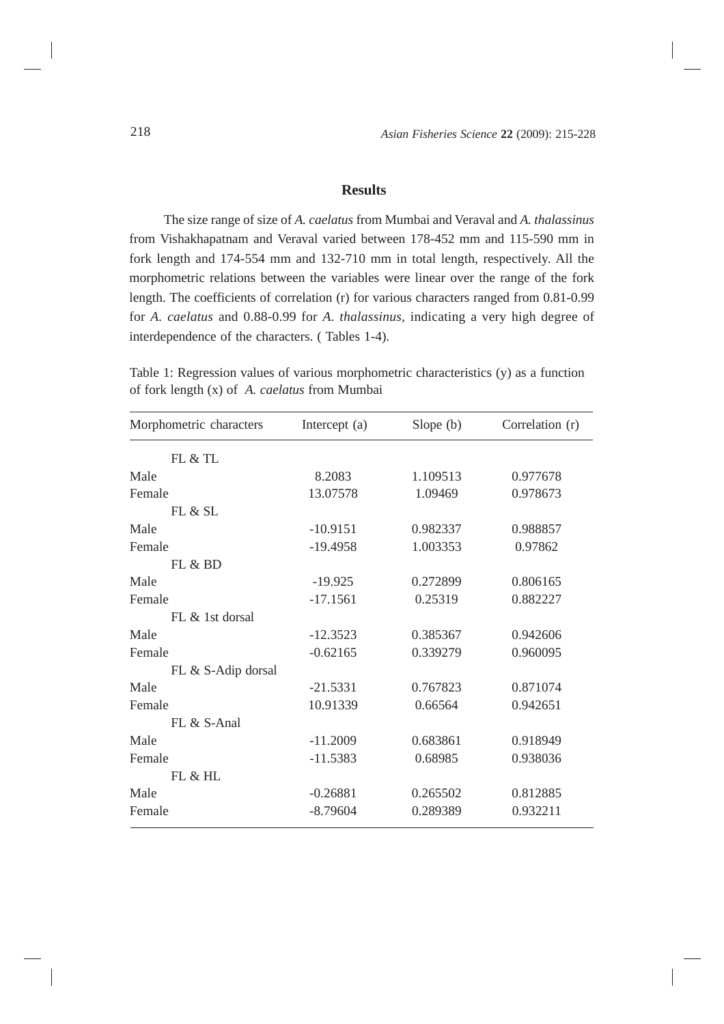# **Results**

The size range of size of *A. caelatus* from Mumbai and Veraval and *A. thalassinus* from Vishakhapatnam and Veraval varied between 178-452 mm and 115-590 mm in fork length and 174-554 mm and 132-710 mm in total length, respectively. All the morphometric relations between the variables were linear over the range of the fork length. The coefficients of correlation (r) for various characters ranged from 0.81-0.99 for *A. caelatus* and 0.88-0.99 for *A. thalassinus,* indicating a very high degree of interdependence of the characters. ( Tables 1-4).

Table 1: Regression values of various morphometric characteristics (y) as a function of fork length (x) of *A. caelatus* from Mumbai

| Morphometric characters | Intercept (a) | Slope $(b)$ | Correlation (r) |  |
|-------------------------|---------------|-------------|-----------------|--|
| FL & TL                 |               |             |                 |  |
| Male                    | 8.2083        | 1.109513    | 0.977678        |  |
| Female                  | 13.07578      | 1.09469     | 0.978673        |  |
| FL & SL                 |               |             |                 |  |
| Male                    | $-10.9151$    | 0.982337    | 0.988857        |  |
| Female                  | $-19.4958$    | 1.003353    | 0.97862         |  |
| FL & BD                 |               |             |                 |  |
| Male                    | $-19.925$     | 0.272899    | 0.806165        |  |
| Female                  | $-17.1561$    | 0.25319     | 0.882227        |  |
| $FL &$ 1st dorsal       |               |             |                 |  |
| Male                    | $-12.3523$    | 0.385367    | 0.942606        |  |
| Female                  | $-0.62165$    | 0.339279    | 0.960095        |  |
| FL & S-Adip dorsal      |               |             |                 |  |
| Male                    | $-21.5331$    | 0.767823    | 0.871074        |  |
| Female                  | 10.91339      | 0.66564     | 0.942651        |  |
| $FL & S- Anal$          |               |             |                 |  |
| Male                    | $-11.2009$    | 0.683861    | 0.918949        |  |
| Female                  | $-11.5383$    | 0.68985     | 0.938036        |  |
| FL & HL                 |               |             |                 |  |
| Male                    | $-0.26881$    | 0.265502    | 0.812885        |  |
| Female                  | $-8.79604$    | 0.289389    | 0.932211        |  |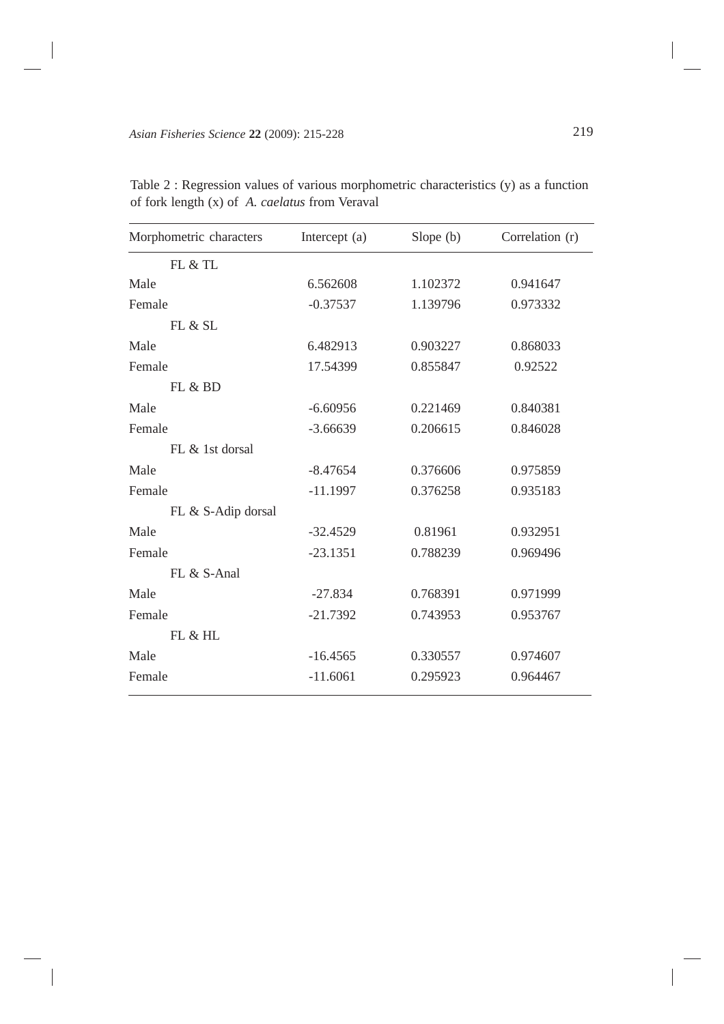| Morphometric characters | Intercept (a) | Slope (b) | Correlation (r) |
|-------------------------|---------------|-----------|-----------------|
| FL & TL                 |               |           |                 |
| Male                    | 6.562608      | 1.102372  | 0.941647        |
| Female                  | $-0.37537$    | 1.139796  | 0.973332        |
| FL & SL                 |               |           |                 |
| Male                    | 6.482913      | 0.903227  | 0.868033        |
| Female                  | 17.54399      | 0.855847  | 0.92522         |
| FL & BD                 |               |           |                 |
| Male                    | $-6.60956$    | 0.221469  | 0.840381        |
| Female                  | $-3.66639$    | 0.206615  | 0.846028        |
| $FL &$ 1st dorsal       |               |           |                 |
| Male                    | $-8.47654$    | 0.376606  | 0.975859        |
| Female                  | $-11.1997$    | 0.376258  | 0.935183        |
| FL & S-Adip dorsal      |               |           |                 |
| Male                    | $-32.4529$    | 0.81961   | 0.932951        |
| Female                  | $-23.1351$    | 0.788239  | 0.969496        |
| FL & S-Anal             |               |           |                 |
| Male                    | $-27.834$     | 0.768391  | 0.971999        |
| Female                  | $-21.7392$    | 0.743953  | 0.953767        |
| FL & HL                 |               |           |                 |
| Male                    | $-16.4565$    | 0.330557  | 0.974607        |
| Female                  | $-11.6061$    | 0.295923  | 0.964467        |

Table 2 : Regression values of various morphometric characteristics (y) as a function of fork length (x) of *A. caelatus* from Veraval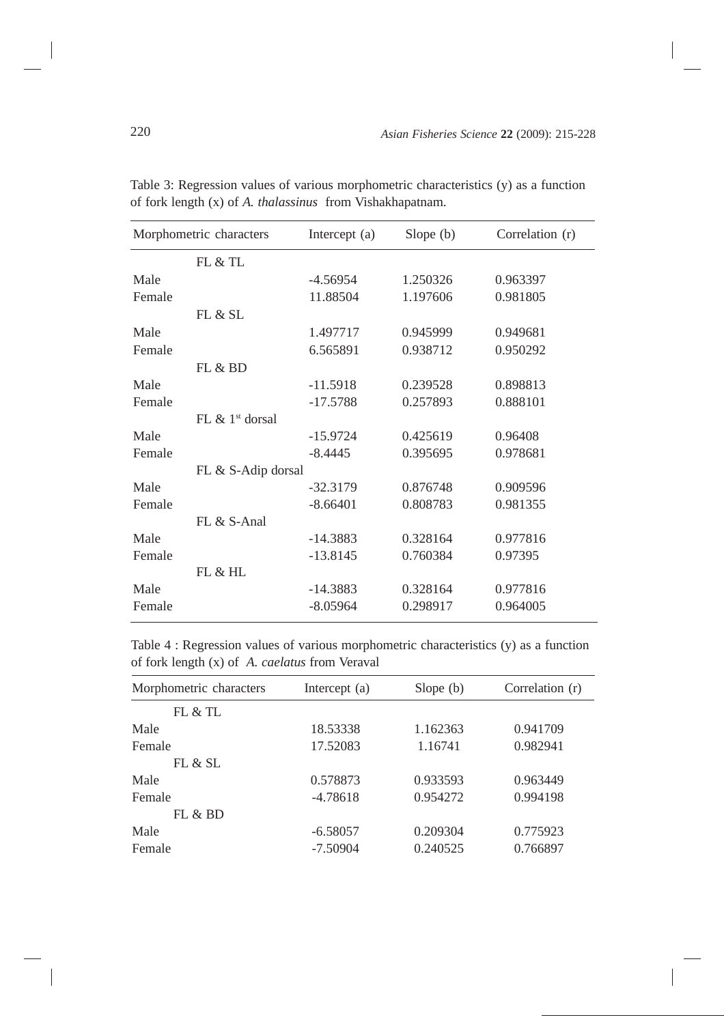|        | Morphometric characters        | Intercept (a) | Slope $(b)$ | Correlation (r) |
|--------|--------------------------------|---------------|-------------|-----------------|
|        | FL & TL                        |               |             |                 |
| Male   |                                | $-4.56954$    | 1.250326    | 0.963397        |
| Female |                                | 11.88504      | 1.197606    | 0.981805        |
|        | FL & SL                        |               |             |                 |
| Male   |                                | 1.497717      | 0.945999    | 0.949681        |
| Female |                                | 6.565891      | 0.938712    | 0.950292        |
|        | FL & BD                        |               |             |                 |
| Male   |                                | $-11.5918$    | 0.239528    | 0.898813        |
| Female |                                | $-17.5788$    | 0.257893    | 0.888101        |
|        | FL $\&$ 1 <sup>st</sup> dorsal |               |             |                 |
| Male   |                                | $-15.9724$    | 0.425619    | 0.96408         |
| Female |                                | $-8.4445$     | 0.395695    | 0.978681        |
|        | FL & S-Adip dorsal             |               |             |                 |
| Male   |                                | $-32.3179$    | 0.876748    | 0.909596        |
| Female |                                | $-8.66401$    | 0.808783    | 0.981355        |
|        | FL & S-Anal                    |               |             |                 |
| Male   |                                | $-14.3883$    | 0.328164    | 0.977816        |
| Female |                                | $-13.8145$    | 0.760384    | 0.97395         |
|        | FL & HL                        |               |             |                 |
| Male   |                                | $-14.3883$    | 0.328164    | 0.977816        |
| Female |                                | $-8.05964$    | 0.298917    | 0.964005        |

Table 3: Regression values of various morphometric characteristics (y) as a function of fork length (x) of *A. thalassinus* from Vishakhapatnam.

Table 4 : Regression values of various morphometric characteristics (y) as a function of fork length (x) of *A. caelatus* from Veraval

| Correlation (r) |
|-----------------|
|                 |
|                 |
| 0.941709        |
| 0.982941        |
|                 |
| 0.963449        |
| 0.994198        |
|                 |
| 0.775923        |
| 0.766897        |
|                 |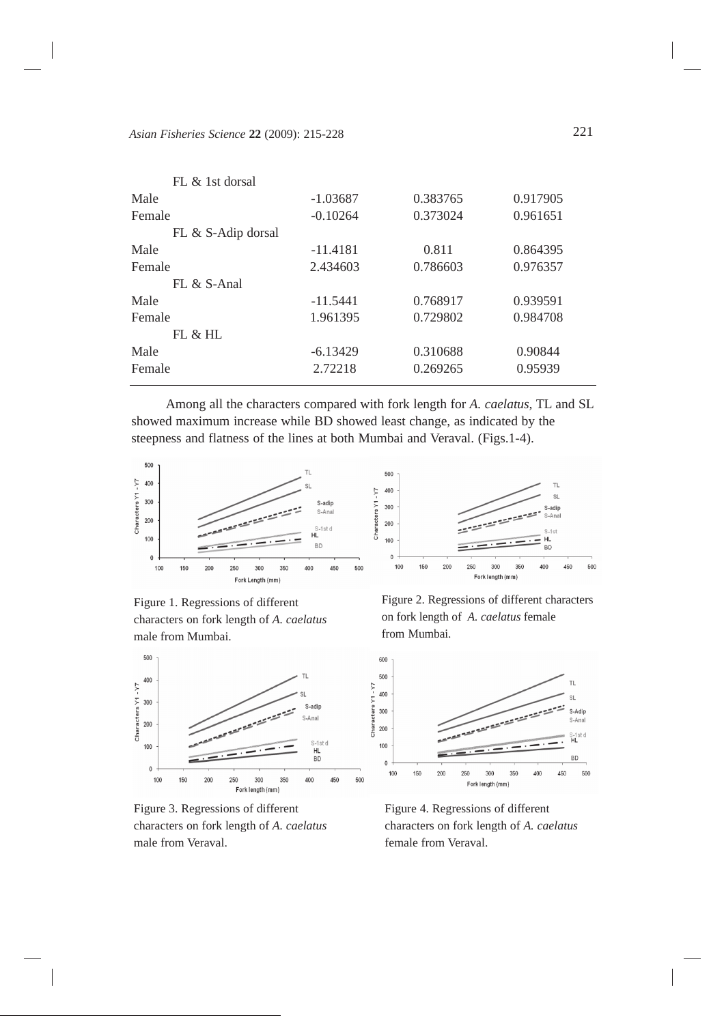| FL & 1st dorsal    |            |          |          |
|--------------------|------------|----------|----------|
| Male               | $-1.03687$ | 0.383765 | 0.917905 |
| Female             | $-0.10264$ | 0.373024 | 0.961651 |
| FL & S-Adip dorsal |            |          |          |
| Male               | $-11.4181$ | 0.811    | 0.864395 |
| Female             | 2.434603   | 0.786603 | 0.976357 |
| $FL & S- Anal$     |            |          |          |
| Male               | $-11.5441$ | 0.768917 | 0.939591 |
| Female             | 1.961395   | 0.729802 | 0.984708 |
| FL & HL            |            |          |          |
| Male               | $-6.13429$ | 0.310688 | 0.90844  |
| Female             | 2.72218    | 0.269265 | 0.95939  |
|                    |            |          |          |

Among all the characters compared with fork length for *A. caelatus,* TL and SL showed maximum increase while BD showed least change, as indicated by the steepness and flatness of the lines at both Mumbai and Veraval. (Figs.1-4).



Figure 1. Regressions of different characters on fork length of *A. caelatus* male from Mumbai.



Figure 3. Regressions of different characters on fork length of *A. caelatus* male from Veraval.

Figure 2. Regressions of different characters on fork length of *A. caelatus* female from Mumbai.



Figure 4. Regressions of different characters on fork length of *A. caelatus* female from Veraval.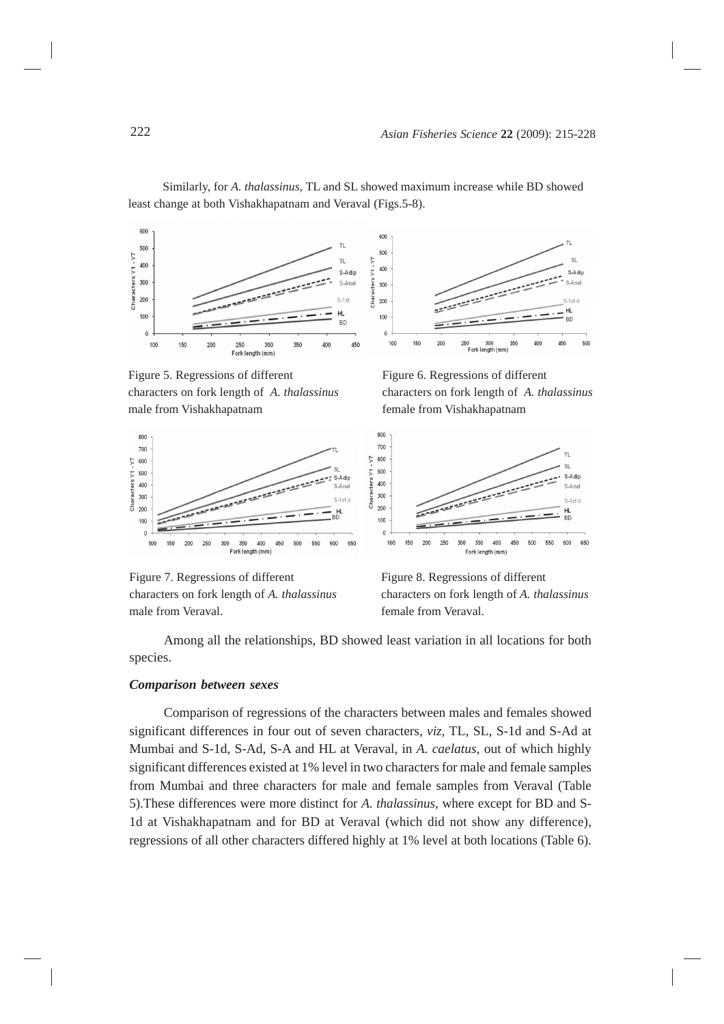

Similarly, for *A. thalassinus,* TL and SL showed maximum increase while BD showed least change at both Vishakhapatnam and Veraval (Figs.5-8).

Figure 5. Regressions of different characters on fork length of *A. thalassinus* male from Vishakhapatnam



Figure 7. Regressions of different characters on fork length of *A. thalassinus* male from Veraval.



RF

450 50



Figure 8. Regressions of different characters on fork length of *A. thalassinus* female from Veraval.

Among all the relationships, BD showed least variation in all locations for both species.

#### *Comparison between sexes*

Comparison of regressions of the characters between males and females showed significant differences in four out of seven characters, *viz,* TL, SL, S-1d and S-Ad at Mumbai and S-1d, S-Ad, S-A and HL at Veraval, in *A. caelatus,* out of which highly significant differences existed at 1% level in two characters for male and female samples from Mumbai and three characters for male and female samples from Veraval (Table 5).These differences were more distinct for *A. thalassinus*, where except for BD and S-1d at Vishakhapatnam and for BD at Veraval (which did not show any difference), regressions of all other characters differed highly at 1% level at both locations (Table 6).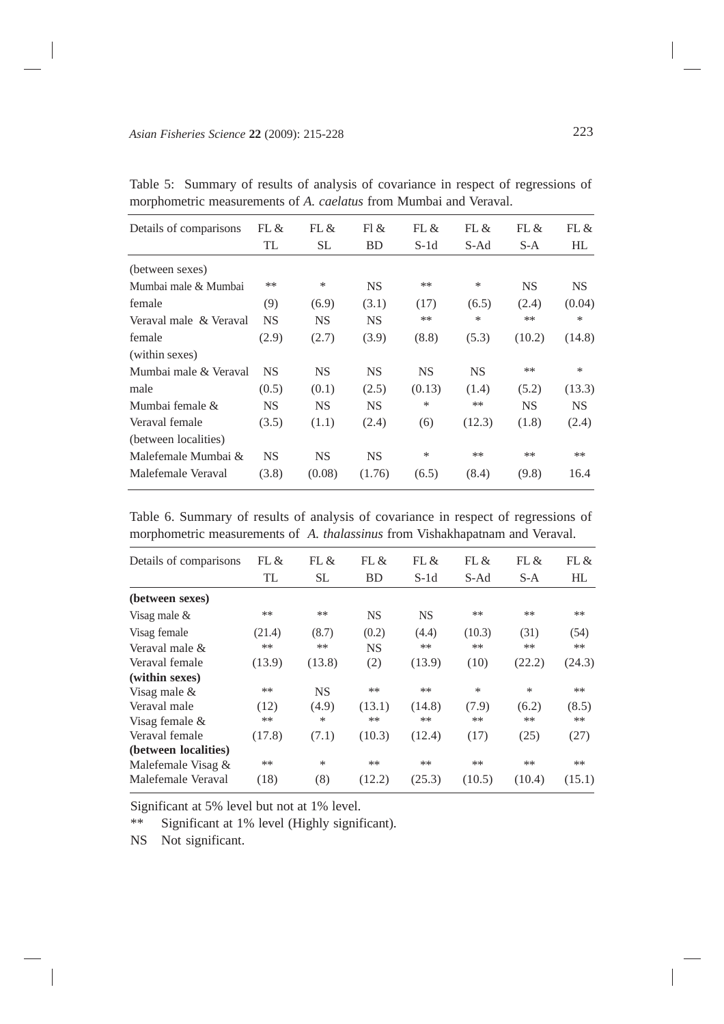| Details of comparisons | FL &      | FL &      | F1 &      | FL &      | FL &      | FL &      | FL &      |
|------------------------|-----------|-----------|-----------|-----------|-----------|-----------|-----------|
|                        | TL        | SL.       | <b>BD</b> | $S-1d$    | S-Ad      | S-A       | HL        |
| (between sexes)        |           |           |           |           |           |           |           |
| Mumbai male & Mumbai   | $**$      | $\ast$    | <b>NS</b> | $**$      | $\ast$    | <b>NS</b> | <b>NS</b> |
| female                 | (9)       | (6.9)     | (3.1)     | (17)      | (6.5)     | (2.4)     | (0.04)    |
| Veraval male & Veraval | <b>NS</b> | <b>NS</b> | <b>NS</b> | **        | *         | **        | ∗         |
| female                 | (2.9)     | (2.7)     | (3.9)     | (8.8)     | (5.3)     | (10.2)    | (14.8)    |
| (within sexes)         |           |           |           |           |           |           |           |
| Mumbai male & Veraval  | <b>NS</b> | <b>NS</b> | <b>NS</b> | <b>NS</b> | <b>NS</b> | **        | $\ast$    |
| male                   | (0.5)     | (0.1)     | (2.5)     | (0.13)    | (1.4)     | (5.2)     | (13.3)    |
| Mumbai female &        | <b>NS</b> | <b>NS</b> | <b>NS</b> | *         | **        | <b>NS</b> | <b>NS</b> |
| Veraval female         | (3.5)     | (1.1)     | (2.4)     | (6)       | (12.3)    | (1.8)     | (2.4)     |
| (between localities)   |           |           |           |           |           |           |           |
| Malefemale Mumbai &    | <b>NS</b> | <b>NS</b> | <b>NS</b> | *         | $**$      | $**$      | $**$      |
| Malefemale Veraval     | (3.8)     | (0.08)    | (1.76)    | (6.5)     | (8.4)     | (9.8)     | 16.4      |
|                        |           |           |           |           |           |           |           |

Table 5: Summary of results of analysis of covariance in respect of regressions of morphometric measurements of *A. caelatus* from Mumbai and Veraval.

Table 6. Summary of results of analysis of covariance in respect of regressions of morphometric measurements of *A. thalassinus* from Vishakhapatnam and Veraval.

| Details of comparisons | FL $\&$ | FL &      | FL &      | FL &      | FL $\&$ | FL &   | FL &   |
|------------------------|---------|-----------|-----------|-----------|---------|--------|--------|
|                        | TL      | <b>SL</b> | <b>BD</b> | $S-1d$    | S-Ad    | $S-A$  | HL     |
| (between sexes)        |         |           |           |           |         |        |        |
| Visag male $\&$        | $**$    | $***$     | <b>NS</b> | <b>NS</b> | $***$   | **     | $**$   |
| Visag female           | (21.4)  | (8.7)     | (0.2)     | (4.4)     | (10.3)  | (31)   | (54)   |
| Veraval male &         | $***$   | $**$      | <b>NS</b> | **        | $**$    | **     | $**$   |
| Veraval female         | (13.9)  | (13.8)    | (2)       | (13.9)    | (10)    | (22.2) | (24.3) |
| (within sexes)         |         |           |           |           |         |        |        |
| Visag male &           | $***$   | <b>NS</b> | $**$      | $***$     | ∗       | ∗      | $***$  |
| Veraval male           | (12)    | (4.9)     | (13.1)    | (14.8)    | (7.9)   | (6.2)  | (8.5)  |
| Visag female $\&$      | $**$    | $\ast$    | $**$      | $***$     | $**$    | $**$   | $**$   |
| Veraval female         | (17.8)  | (7.1)     | (10.3)    | (12.4)    | (17)    | (25)   | (27)   |
| (between localities)   |         |           |           |           |         |        |        |
| Malefemale Visag $\&$  | $***$   | *         | $**$      | $***$     | $**$    | $**$   | $**$   |
| Malefemale Veraval     | (18)    | (8)       | (12.2)    | (25.3)    | (10.5)  | (10.4) | (15.1) |

Significant at 5% level but not at 1% level.

\*\* Significant at 1% level (Highly significant).

NS Not significant.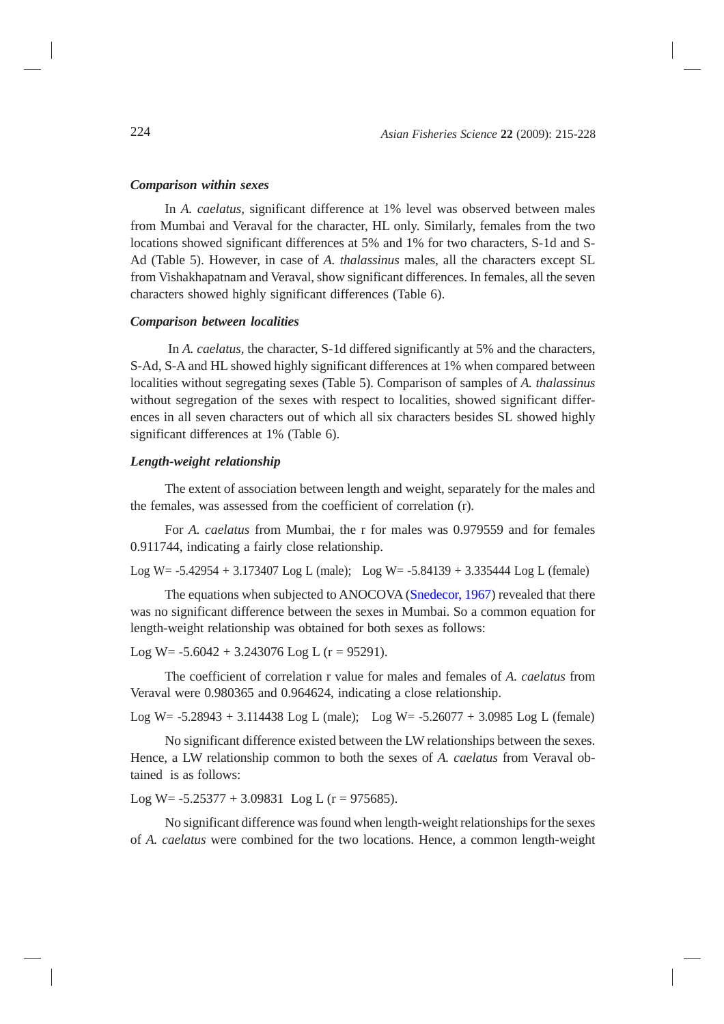#### *Comparison within sexes*

In *A. caelatus,* significant difference at 1% level was observed between males from Mumbai and Veraval for the character, HL only. Similarly, females from the two locations showed significant differences at 5% and 1% for two characters, S-1d and S-Ad (Table 5). However, in case of *A. thalassinus* males, all the characters except SL from Vishakhapatnam and Veraval, show significant differences. In females, all the seven characters showed highly significant differences (Table 6).

#### *Comparison between localities*

 In *A. caelatus,* the character, S-1d differed significantly at 5% and the characters, S-Ad, S-A and HL showed highly significant differences at 1% when compared between localities without segregating sexes (Table 5). Comparison of samples of *A. thalassinus* without segregation of the sexes with respect to localities, showed significant differences in all seven characters out of which all six characters besides SL showed highly significant differences at 1% (Table 6).

### *Length-weight relationship*

The extent of association between length and weight, separately for the males and the females, was assessed from the coefficient of correlation (r).

For *A. caelatus* from Mumbai, the r for males was 0.979559 and for females 0.911744, indicating a fairly close relationship.

Log W= -5.42954 + 3.173407 Log L (male); Log W= -5.84139 + 3.335444 Log L (female)

The equations when subjected to ANOCOVA [\(Snedecor, 1967\)](#page-12-0) revealed that there was no significant difference between the sexes in Mumbai. So a common equation for length-weight relationship was obtained for both sexes as follows:

Log W =  $-5.6042 + 3.243076$  Log L (r = 95291).

The coefficient of correlation r value for males and females of *A. caelatus* from Veraval were 0.980365 and 0.964624, indicating a close relationship.

Log W= -5.28943 + 3.114438 Log L (male); Log W= -5.26077 + 3.0985 Log L (female)

No significant difference existed between the LW relationships between the sexes. Hence, a LW relationship common to both the sexes of *A. caelatus* from Veraval obtained is as follows:

Log W =  $-5.25377 + 3.09831$  Log L (r = 975685).

No significant difference was found when length-weight relationships for the sexes of *A. caelatus* were combined for the two locations. Hence, a common length-weight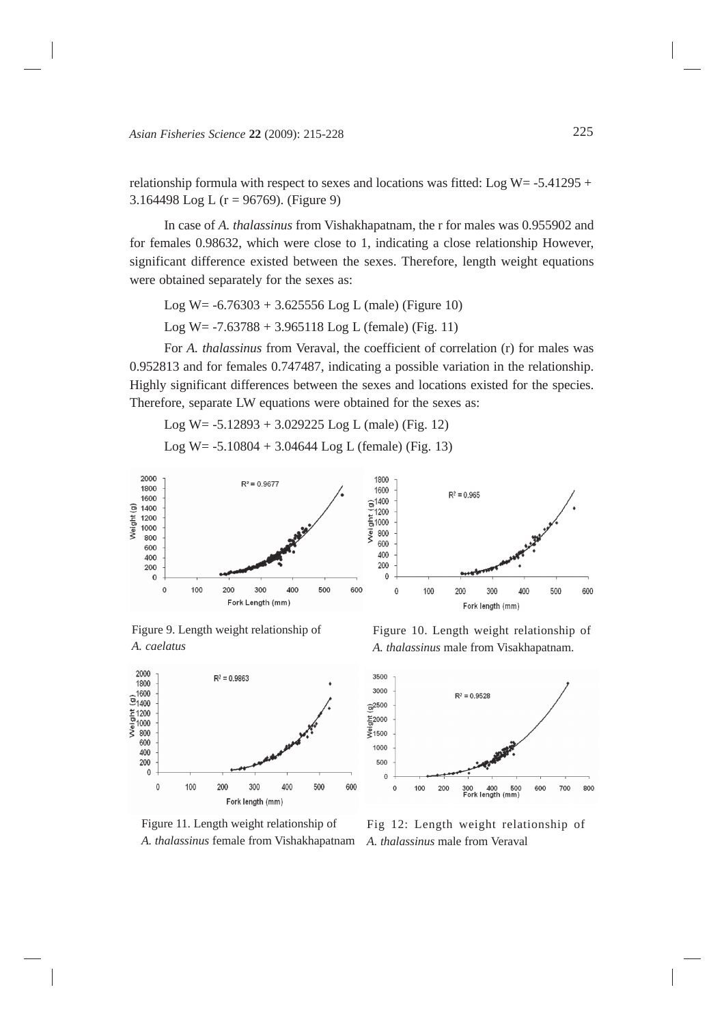relationship formula with respect to sexes and locations was fitted: Log W=  $-5.41295 +$ 3.164498 Log L (r = 96769). (Figure 9)

In case of *A. thalassinus* from Vishakhapatnam, the r for males was 0.955902 and for females 0.98632, which were close to 1, indicating a close relationship However, significant difference existed between the sexes. Therefore, length weight equations were obtained separately for the sexes as:

Log W =  $-6.76303 + 3.625556$  Log L (male) (Figure 10)

Log W =  $-7.63788 + 3.965118$  Log L (female) (Fig. 11)

For *A. thalassinus* from Veraval, the coefficient of correlation (r) for males was 0.952813 and for females 0.747487, indicating a possible variation in the relationship. Highly significant differences between the sexes and locations existed for the species. Therefore, separate LW equations were obtained for the sexes as:

Log W= -5.12893 + 3.029225 Log L (male) (Fig. 12)

Log W =  $-5.10804 + 3.04644$  Log L (female) (Fig. 13)



Figure 9. Length weight relationship of *A. caelatus*



Figure 11. Length weight relationship of *A. thalassinus* female from Vishakhapatnam

Figure 10. Length weight relationship of *A. thalassinus* male from Visakhapatnam.



Fig 12: Length weight relationship of *A. thalassinus* male from Veraval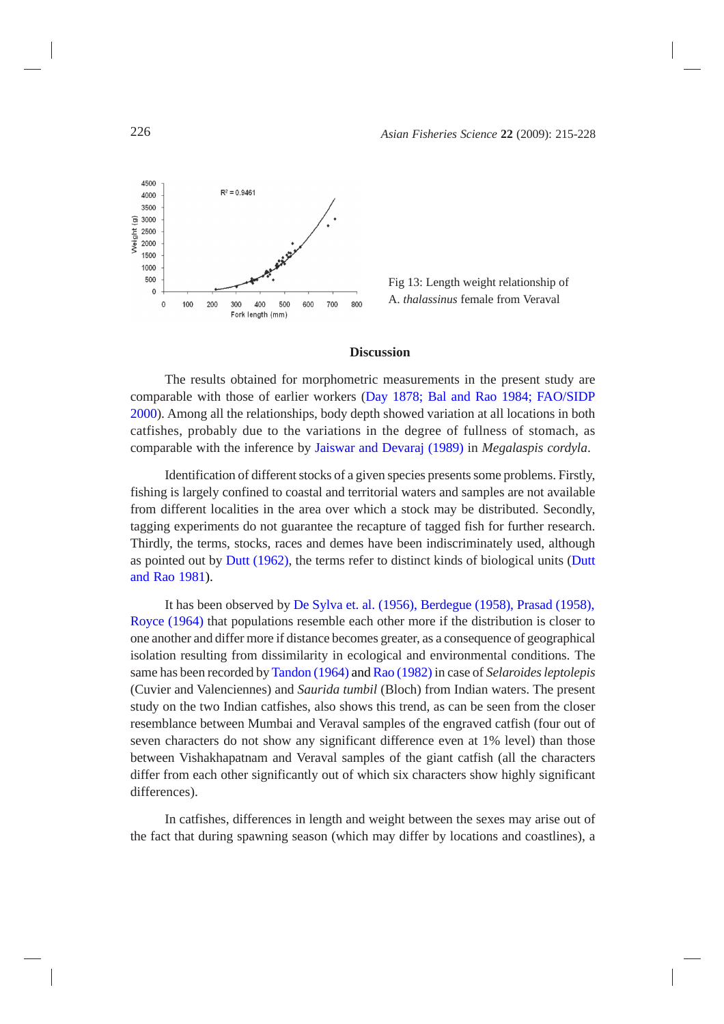



# **Discussion**

The results obtained for morphometric measurements in the present study are comparable with those of earlier workers [\(Day 1878; Bal and Rao 1984; FAO/SIDP](#page-12-0) [2000\)](#page-12-0). Among all the relationships, body depth showed variation at all locations in both catfishes, probably due to the variations in the degree of fullness of stomach, as comparable with the inference by [Jaiswar and Devaraj \(1989\)](#page-12-0) in *Megalaspis cordyla*.

Identification of different stocks of a given species presents some problems. Firstly, fishing is largely confined to coastal and territorial waters and samples are not available from different localities in the area over which a stock may be distributed. Secondly, tagging experiments do not guarantee the recapture of tagged fish for further research. Thirdly, the terms, stocks, races and demes have been indiscriminately used, although as pointed out by [Dutt \(1962\)](#page-12-0), the terms refer to distinct kinds of biological units [\(Dutt](#page-12-0) [and Rao 1981\).](#page-12-0)

It has been observed by De Sylva et. al. [\(1956\), Berdegue \(1958\), Prasad \(1958\),](#page-12-0) [Royce \(1964\)](#page-12-0) that populations resemble each other more if the distribution is closer to one another and differ more if distance becomes greater, as a consequence of geographical isolation resulting from dissimilarity in ecological and environmental conditions. The same has been recorded by [Tandon \(1964\)](#page-12-0) an[d Rao \(1982\)](#page-12-0) in case of *Selaroides leptolepis* (Cuvier and Valenciennes) and *Saurida tumbil* (Bloch) from Indian waters. The present study on the two Indian catfishes, also shows this trend, as can be seen from the closer resemblance between Mumbai and Veraval samples of the engraved catfish (four out of seven characters do not show any significant difference even at 1% level) than those between Vishakhapatnam and Veraval samples of the giant catfish (all the characters differ from each other significantly out of which six characters show highly significant differences).

In catfishes, differences in length and weight between the sexes may arise out of the fact that during spawning season (which may differ by locations and coastlines), a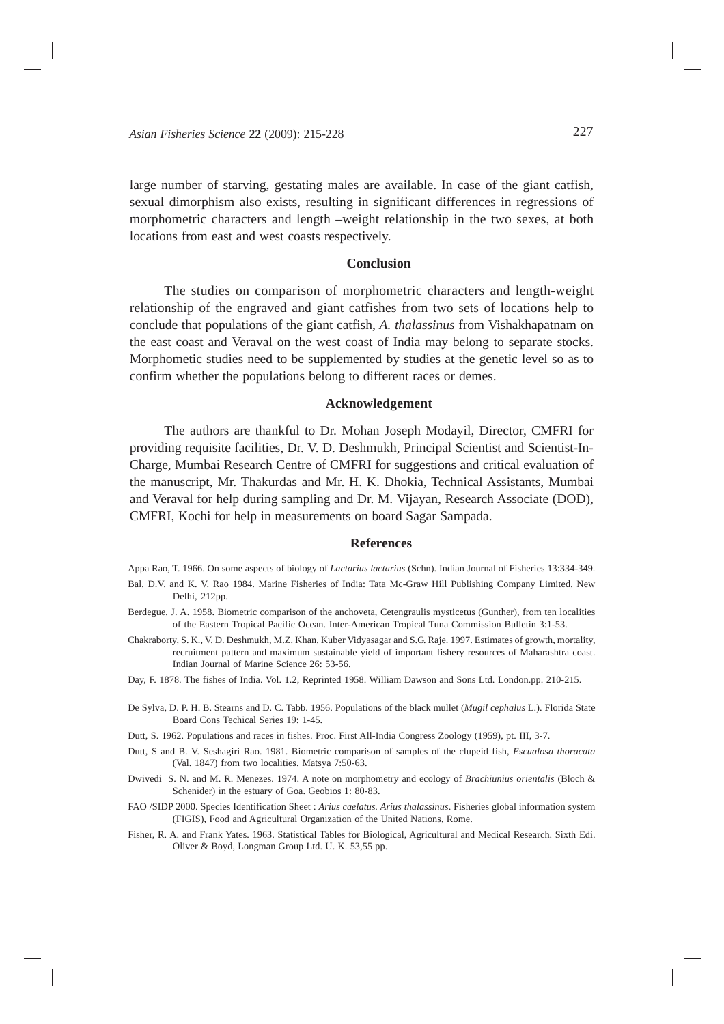<span id="page-12-0"></span>large number of starving, gestating males are available. In case of the giant catfish, sexual dimorphism also exists, resulting in significant differences in regressions of morphometric characters and length –weight relationship in the two sexes, at both locations from east and west coasts respectively.

#### **Conclusion**

The studies on comparison of morphometric characters and length-weight relationship of the engraved and giant catfishes from two sets of locations help to conclude that populations of the giant catfish, *A. thalassinus* from Vishakhapatnam on the east coast and Veraval on the west coast of India may belong to separate stocks. Morphometic studies need to be supplemented by studies at the genetic level so as to confirm whether the populations belong to different races or demes.

#### **Acknowledgement**

The authors are thankful to Dr. Mohan Joseph Modayil, Director, CMFRI for providing requisite facilities, Dr. V. D. Deshmukh, Principal Scientist and Scientist-In-Charge, Mumbai Research Centre of CMFRI for suggestions and critical evaluation of the manuscript, Mr. Thakurdas and Mr. H. K. Dhokia, Technical Assistants, Mumbai and Veraval for help during sampling and Dr. M. Vijayan, Research Associate (DOD), CMFRI, Kochi for help in measurements on board Sagar Sampada.

#### **References**

- Appa Rao, T. 1966. On some aspects of biology of *Lactarius lactarius* (Schn). Indian Journal of Fisheries 13:334-349. Bal, D.V. and K. V. Rao 1984. Marine Fisheries of India: Tata Mc-Graw Hill Publishing Company Limited, New Delhi, 212pp.
- Berdegue, J. A. 1958. Biometric comparison of the anchoveta, Cetengraulis mysticetus (Gunther), from ten localities of the Eastern Tropical Pacific Ocean. Inter-American Tropical Tuna Commission Bulletin 3:1-53.
- Chakraborty, S. K., V. D. Deshmukh, M.Z. Khan, Kuber Vidyasagar and S.G. Raje. 1997. Estimates of growth, mortality, recruitment pattern and maximum sustainable yield of important fishery resources of Maharashtra coast. Indian Journal of Marine Science 26: 53-56.
- Day, F. 1878. The fishes of India. Vol. 1.2, Reprinted 1958. William Dawson and Sons Ltd. London.pp. 210-215.
- De Sylva, D. P. H. B. Stearns and D. C. Tabb. 1956. Populations of the black mullet (*Mugil cephalus* L.). Florida State Board Cons Techical Series 19: 1-45.
- Dutt, S. 1962. Populations and races in fishes. Proc. First All-India Congress Zoology (1959), pt. III, 3-7.
- Dutt, S and B. V. Seshagiri Rao. 1981. Biometric comparison of samples of the clupeid fish, *Escualosa thoracata* (Val. 1847) from two localities. Matsya 7:50-63.
- Dwivedi S. N. and M. R. Menezes. 1974. A note on morphometry and ecology of *Brachiunius orientalis* (Bloch & Schenider) in the estuary of Goa. Geobios 1: 80-83.
- FAO /SIDP 2000. Species Identification Sheet : *Arius caelatus. Arius thalassinus*. Fisheries global information system (FIGIS), Food and Agricultural Organization of the United Nations, Rome.
- Fisher, R. A. and Frank Yates. 1963. Statistical Tables for Biological, Agricultural and Medical Research. Sixth Edi. Oliver & Boyd, Longman Group Ltd. U. K. 53,55 pp.